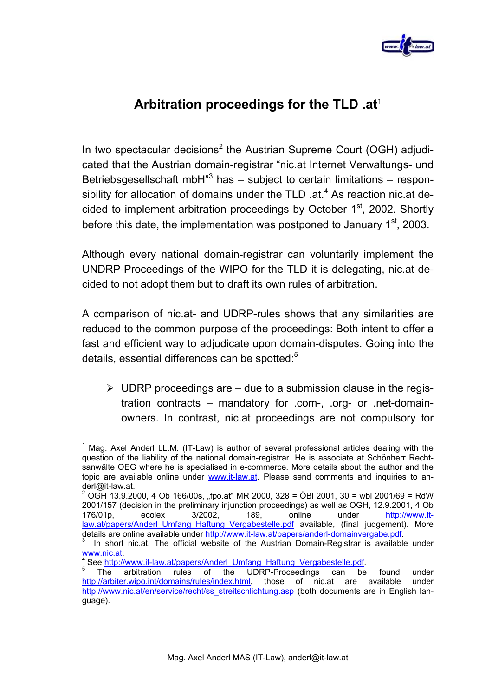

## **Arbitration proceedings for the TLD .at**<sup>1</sup>

In two spectacular decisions<sup>2</sup> the Austrian Supreme Court (OGH) adjudicated that the Austrian domain-registrar "nic.at Internet Verwaltungs- und Betriebsgesellschaft mbH $n^3$  has  $-$  subject to certain limitations  $-$  responsibility for allocation of domains under the TLD .at. $4$  As reaction nic.at decided to implement arbitration proceedings by October  $1<sup>st</sup>$ , 2002. Shortly before this date, the implementation was postponed to January  $1<sup>st</sup>$ , 2003.

Although every national domain-registrar can voluntarily implement the UNDRP-Proceedings of the WIPO for the TLD it is delegating, nic.at decided to not adopt them but to draft its own rules of arbitration.

A comparison of nic.at- and UDRP-rules shows that any similarities are reduced to the common purpose of the proceedings: Both intent to offer a fast and efficient way to adjudicate upon domain-disputes. Going into the details, essential differences can be spotted:<sup>5</sup>

 $\triangleright$  UDRP proceedings are – due to a submission clause in the registration contracts – mandatory for .com-, .org- or .net-domainowners. In contrast, nic.at proceedings are not compulsory for

l  $1$  Mag. Axel Anderl LL.M. (IT-Law) is author of several professional articles dealing with the question of the liability of the national domain-registrar. He is associate at Schönherr Rechtsanwälte OEG where he is specialised in e-commerce. More details about the author and the topic are available online under www.it-law.at. Please send comments and inquiries to anderl@it-law.at.

<sup>&</sup>lt;sup>2</sup> OGH 13.9.2000, 4 Ob 166/00s, "fpo.at" MR 2000, 328 = ÖBI 2001, 30 = wbl 2001/69 = RdW 2001/157 (decision in the preliminary injunction proceedings) as well as OGH, 12.9.2001, 4 Ob 176/01p, ecolex 3/2002, 189, online under http://www.itlaw.at/papers/Anderl\_Umfang\_Haftung\_Vergabestelle.pdf available, (final judgement). More details are online available under http://www.it-law.at/papers/anderl-domainvergabe.pdf

In short nic.at. The official website of the Austrian Domain-Registrar is available under www.nic.at.<br> $\frac{4}{100}$  contracts

<sup>&</sup>lt;sup>4</sup> See http://www.it-law.at/papers/Anderl\_Umfang\_Haftung\_Vergabestelle.pdf.<br><sup>5</sup> The erbitration rules of the UDBB Preseedings can be

The arbitration rules of the UDRP-Proceedings can be found under http://arbiter.wipo.int/domains/rules/index.html, those of nic.at are available under http://www.nic.at/en/service/recht/ss\_streitschlichtung.asp (both documents are in English language).